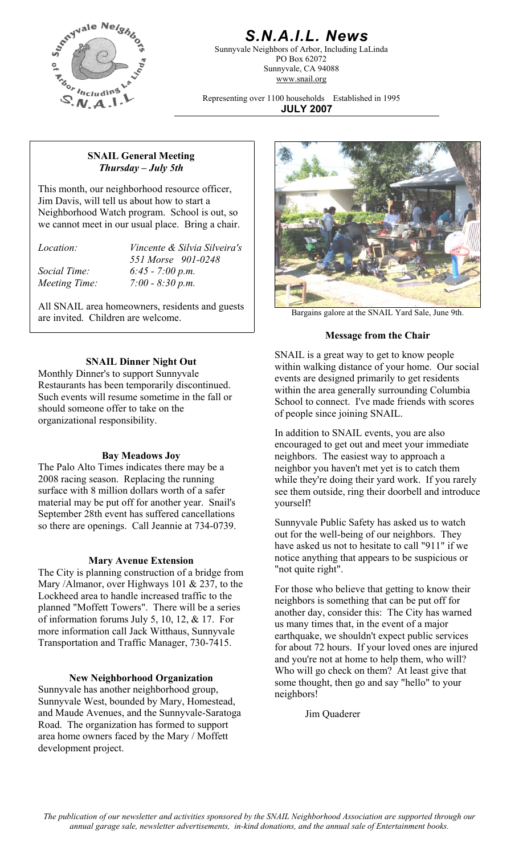

# *S.N.A.I.L. News*

Sunnyvale Neighbors of Arbor, Including LaLinda PO Box 62072 Sunnyvale, CA 94088 www.snail.org

Representing over 1100 households Established in 1995 **JULY 2007**

### **SNAIL General Meeting**  *Thursday – July 5th*

This month, our neighborhood resource officer, Jim Davis, will tell us about how to start a Neighborhood Watch program. School is out, so we cannot meet in our usual place. Bring a chair.

| Location: |  |
|-----------|--|
|           |  |

*Location: Vincente & Silvia Silveira's 551 Morse 901-0248 Social Time: 6:45 - 7:00 p.m. Meeting Time: 7:00 - 8:30 p.m.* 

All SNAIL area homeowners, residents and guests are invited. Children are welcome.

# **SNAIL Dinner Night Out**

Monthly Dinner's to support Sunnyvale Restaurants has been temporarily discontinued. Such events will resume sometime in the fall or should someone offer to take on the organizational responsibility.

### **Bay Meadows Joy**

The Palo Alto Times indicates there may be a 2008 racing season. Replacing the running surface with 8 million dollars worth of a safer material may be put off for another year. Snail's September 28th event has suffered cancellations so there are openings. Call Jeannie at 734-0739. Sunnyvale Public Safety has asked us to watch

**Mary Avenue Extension** notice anything the City is planning construction of a bridge from notice in the right". Mary /Almanor, over Highways 101 & 237, to the Lockheed area to handle increased traffic to the planned "Moffett Towers". There will be a series of information forums July 5, 10, 12, & 17. For more information call Jack Witthaus, Sunnyvale Transportation and Traffic Manager, 730-7415.

### **New Neighborhood Organization**

Sunnyvale has another neighborhood group, Sunnyvale West, bounded by Mary, Homestead, and Maude Avenues, and the Sunnyvale-Saratoga Road. The organization has formed to support area home owners faced by the Mary / Moffett development project.



Bargains galore at the SNAIL Yard Sale, June 9th.

# **Message from the Chair**

SNAIL is a great way to get to know people within walking distance of your home. Our social events are designed primarily to get residents within the area generally surrounding Columbia School to connect. I've made friends with scores of people since joining SNAIL.

In addition to SNAIL events, you are also encouraged to get out and meet your immediate neighbors. The easiest way to approach a neighbor you haven't met yet is to catch them while they're doing their yard work. If you rarely see them outside, ring their doorbell and introduce yourself!

out for the well-being of our neighbors. They have asked us not to hesitate to call "911" if we notice anything that appears to be suspicious or

For those who believe that getting to know their neighbors is something that can be put off for another day, consider this: The City has warned us many times that, in the event of a major earthquake, we shouldn't expect public services for about 72 hours. If your loved ones are injured and you're not at home to help them, who will? Who will go check on them? At least give that some thought, then go and say "hello" to your neighbors!

Jim Quaderer